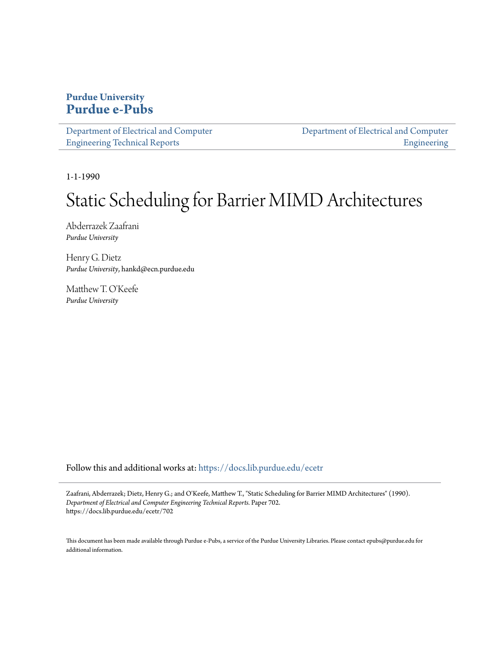### **Purdue University [Purdue e-Pubs](https://docs.lib.purdue.edu?utm_source=docs.lib.purdue.edu%2Fecetr%2F702&utm_medium=PDF&utm_campaign=PDFCoverPages)**

| Department of Electrical and Computer |  |
|---------------------------------------|--|
| <b>Engineering Technical Reports</b>  |  |

[Department of Electrical and Computer](https://docs.lib.purdue.edu/ece?utm_source=docs.lib.purdue.edu%2Fecetr%2F702&utm_medium=PDF&utm_campaign=PDFCoverPages) [Engineering](https://docs.lib.purdue.edu/ece?utm_source=docs.lib.purdue.edu%2Fecetr%2F702&utm_medium=PDF&utm_campaign=PDFCoverPages)

1-1-1990

## Static Scheduling for Barrier MIMD Architectures

Abderrazek Zaafrani *Purdue University*

Henry G. Dietz *Purdue University*, hankd@ecn.purdue.edu

Matthew T. O'Keefe *Purdue University*

Follow this and additional works at: [https://docs.lib.purdue.edu/ecetr](https://docs.lib.purdue.edu/ecetr?utm_source=docs.lib.purdue.edu%2Fecetr%2F702&utm_medium=PDF&utm_campaign=PDFCoverPages)

Zaafrani, Abderrazek; Dietz, Henry G.; and O'Keefe, Matthew T., "Static Scheduling for Barrier MIMD Architectures" (1990). *Department of Electrical and Computer Engineering Technical Reports.* Paper 702. https://docs.lib.purdue.edu/ecetr/702

This document has been made available through Purdue e-Pubs, a service of the Purdue University Libraries. Please contact epubs@purdue.edu for additional information.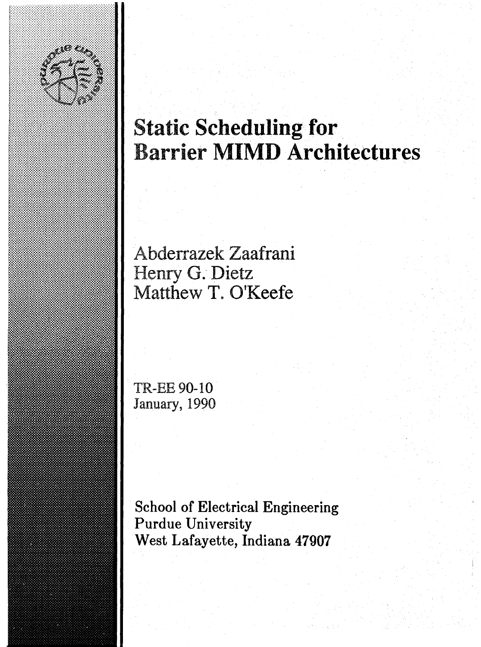

# **Static Scheduling for Barrier MIMD Architectures**

**Abderrazek Zaafrani Henry G. Dietz Matthew T. O'Keefe**

**TR-EE 90-10** January, 1990

**School of Electrical Engineering Purdue University West Lafayette, Indiana 47907**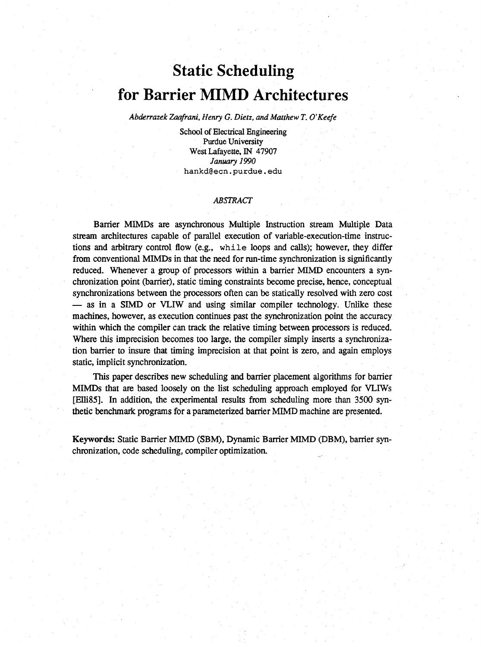## **Static Scheduling for Barrier MIMD Architectures**

*Abderrazek Zaafrani, Henry G. Dietz, and Matthew T. O'Keefe*

School of Electrical Engineering Purdue University West Lafayette, IN 47907 *January 1990* **hankd@ecn.purdue.edu**

#### *ABSTRACT*

Barrier MIMDs are asynchronous Multiple Instruction stream Multiple Data stream architectures capable of parallel execution of variable-execution-time instructions and arbitrary control flow (e.g., while loops and calls); however, they differ from conventional MIMDs in that the need for run-time synchronization is significantly reduced. Whenever a group of processors within a barrier MIMD encounters a synchronization point (barrier), static timing constraints become precise, hence, conceptual synchronizations between the processors often can be statically resolved with zero cost — as in a SIMD or VLIW and using similar compiler technology. Unlike these machines, however, as execution continues past the synchronization point the accuracy within which the compiler can track the relative timing between processors is reduced. Where this imprecision becomes too large, the compiler simply inserts a synchronization barrier to insure that timing imprecision at that point is zero, and again employs static, implicit synchronization.

This paper describes new scheduling and barrier placement algorithms for barrier MIMDs that are based loosely on the list scheduling approach employed for VLIWs [Elli85]. In addition, the experimental results from scheduling more than 3500 synthetic benchmark programs for a parameterized barrier MIMD machine are presented.

Keywords: Static Barrier MIMD (SBM), Dynamic Barrier MIMD (DBM), barrier synchronization, code scheduling, compiler optimization.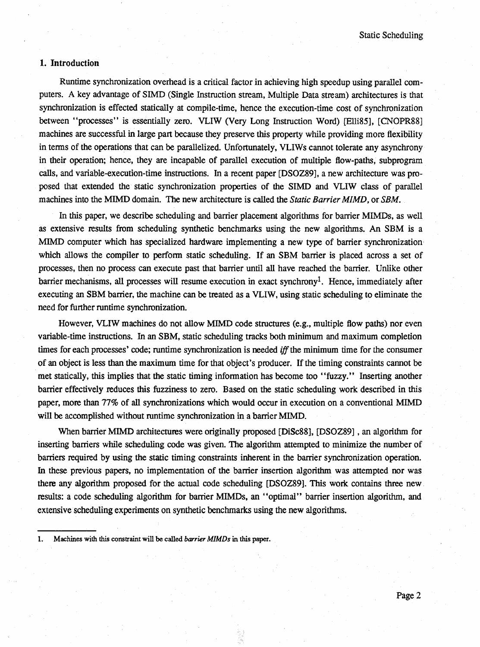#### **I. Introduction**

Runtime synchronization overhead is a critical factor in achieving high speedup using parallel computers. A key advantage of SIMD (Single Instruction stream, Multiple Data stream) architectures is that synchronization is effected statically at compile-time, hence the execution-time cost of synchronization between "processes" is essentially zero. VLIW (Very Long Instruction Word) [Elli85], [CNOPR88] machines are successful in large part because they preserve this property while providing more flexibility in terms of the operations that can be parallelized. Unfortunately, VLIWs cannot tolerate any asynchrony in their operation; hence, they are incapable of parallel execution of multiple flow-paths, subprogram calls, and variable-execution-time instructions. In a recent paper [DSOZ89], a new architecture was proposed that extended the static synchronization properties of the SIMD and VLIW class of parallel machines into the MIMD domain. The new architecture is called the *Static Barrier MlMD,* or *SBM.*

In this paper, we describe scheduling and barrier placement algorithms for barrier MIMDs, as well as extensive results from scheduling synthetic benchmarks using the new algorithms. An SBM is a MIMD computer which has specialized hardware implementing a new type of barrier synchronization which allows the compiler to perform static scheduling. If an SBM barrier is placed across a set of processes, then no process can execute past that barrier until all have reached the barrier. Unlike other barrier mechanisms, all processes will resume execution in exact synchrony<sup>1</sup>. Hence, immediately after executing an SBM barrier, the machine can be treated as a VLIW, using static scheduling to eliminate the need for further runtime synchronization.

However, VLIW machines do not allow MIMD code structures (e.g., multiple flow paths) nor even variable-time instructions. In an SBM, static scheduling tracks both minimum and maximum completion times for each processes' code; runtime synchronization is needed *iff the* minimum time for the consumer of an object is less than the maximum time for that object's producer. If the timing constraints cannot be met statically, this implies that the static timing information has become too " fuzzy." Inserting another barrier effectively reduces this fuzziness to zero. Based on the static scheduling work described in this paper, more than 77% of all synchronizations which would occur in execution on a conventional MIMD will be accomplished without runtime synchronization in a barrier MIMD.

When barrier MIMD architectures were originally proposed [DiSc88], [DSOZ89], an algorithm for inserting barriers while scheduling code was given. The algorithm attempted to minimize the number of barriers required by using the static timing constraints inherent in the barrier synchronization operation. In these previous papers, no implementation of the barrier insertion algorithm was attempted nor was there any algorithm proposed for the actual code scheduling [DSOZ89]. This work contains three new results: a code scheduling algorithm for barrier MIMDs, an " optimal" barrier insertion algorithm, and extensive scheduling experiments on synthetic benchmarks using the new algorithms.

I. Machines with this constraint will be called *barrier MIMDs* in this paper.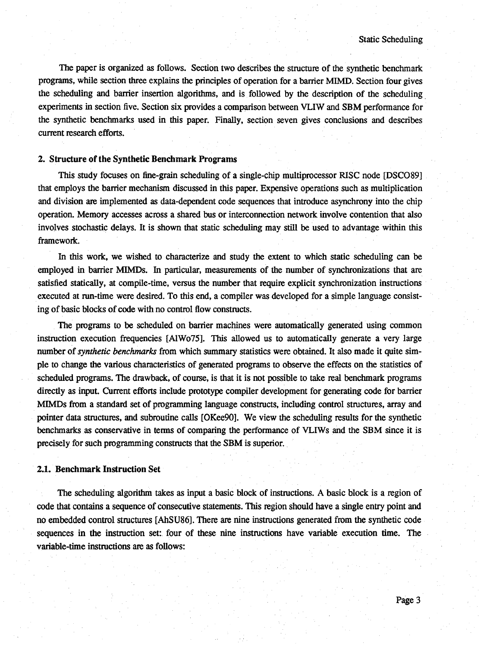The paper is organized as follows. Section two describes the structure of the synthetic benchmark programs, while section three explains the principles of operation for a barrier MIMD. Section four gives the scheduling and barrier insertion algorithms, and is followed by the description of the scheduling experiments in section five. Section six provides a comparison between VLIW and SBM performance for the synthetic benchmarks used in this paper. Finally, section seven gives conclusions and describes current research efforts.

#### **2. Structure of the Synthetic Benchmark Programs**

This study focuses on fine-grain scheduling of a single-chip multiprocessor RISC node [DSC089] that employs the barrier mechanism discussed in this paper. Expensive operations such as multiplication and division are implemented as data-dependent code sequences that introduce asynchrony into the chip operation. Memory accesses across a shared bus or interconnection network involve contention that also involves stochastic delays. It is shown that static scheduling may still be used to advantage within this framework.

In this work, we wished to characterize and study the extent to which static scheduling can be employed in barrier MIMDs. In particular, measurements of the number of synchronizations that are satisfied statically, at compile-time, versus the number that require explicit synchronization instructions executed at run-time were desired. To this end, a compiler was developed for a simple language consisting of basic blocks of code with no control flow constructs.

The programs to be scheduled on barrier machines were automatically generated using common instruction execution frequencies [AlWo75]. This allowed us to automatically generate a very large number of *synthetic benchmarks* from which summary statistics were obtained. It also made it quite simple to change the various characteristics of generated programs to observe the effects on the statistics of scheduled programs. The drawback, of course, is that it is not possible to take real benchmark programs directly as input. Current efforts include prototype compiler development for generating code for barrier MIMDs from a standard set of programming language constructs, including control structures, array and pointer data structures, and subroutine calls [OKee90]. We view the scheduling results for the synthetic benchmarks as conservative in terms of comparing the performance of VLIWs and the SBM since it is precisely for such programming constructs that the SBM is superior.

#### **2.1. Benchmark Instruction Set**

The scheduling algorithm takes as input a basic block of instructions. A basic block is a region of code that contains a sequence of consecutive statements. This region should have a single entry point and no embedded control structures [AhSU86]. There are nine instructions generated from the synthetic code sequences in the instruction set: four of these nine instructions have variable execution time. The variable-time instructions are as follows: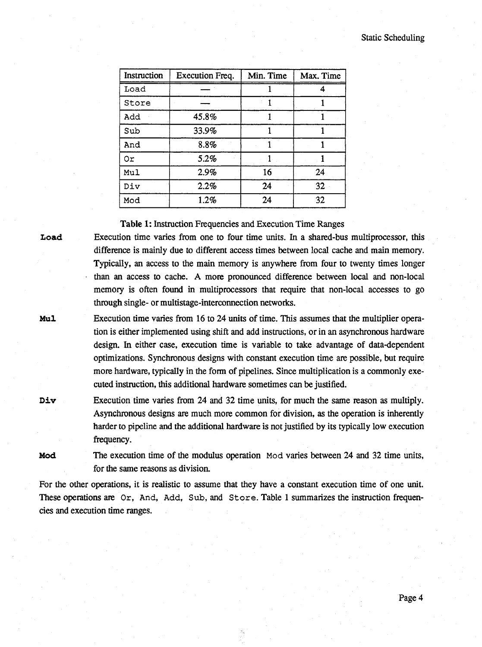| Instruction | Execution Freq. | Min. Time | Max. Time |
|-------------|-----------------|-----------|-----------|
| Load        |                 |           |           |
| Store       |                 |           |           |
| Add         | 45.8%           |           |           |
| Sub         | 33.9%           |           |           |
| And         | 8.8%            |           |           |
| 0r          | 5.2%            |           |           |
| Mul         | 2.9%            | 16        | 24        |
| Div         | 2.2%            | 24        | 32        |
| Mod         | 1.2%            | 24        | 32        |

Table 1: Instruction Frequencies and Execution Time Ranges

Load Execution time varies from one to four time units. In a shared-bus multiprocessor, this difference is mainly due to different access times between local cache and main memory. Typically, an access to the main memory is anywhere from four to twenty times longer • than an access to cache. A more pronounced difference between local and non-local memory is often found in multiprocessors that require that non-local accesses to go through single-or multistage-interconnection networks.

Mul Execution time varies from 16 to 24 units of time. This assumes that the multiplier operation is either implemented using shift and add instructions, or in an asynchronous hardware design. In either case, execution time is variable to take advantage of data-dependent optimizations. Synchronous designs with constant execution time are possible, but require more hardware, typically in the form of pipelines. Since multiplication is a commonly executed instruction, this additional hardware sometimes can be justified.

Div Execution time varies from 24 and 32 time units, for much the same reason as multiply. Asynchronous designs are much more common for division, as the operation is inherently harder to pipeline and the additional hardware is not justified by its typically low execution frequency.

Mod The execution time of the modulus operation Mod varies between 24 and 32 time units, for the same reasons as division.

For the other operations, it is realistic to assume that they have a constant execution time of one unit. These operations are Or, And, Add, Sub, and Store. Table 1 summarizes the instruction frequencies and execution time ranges.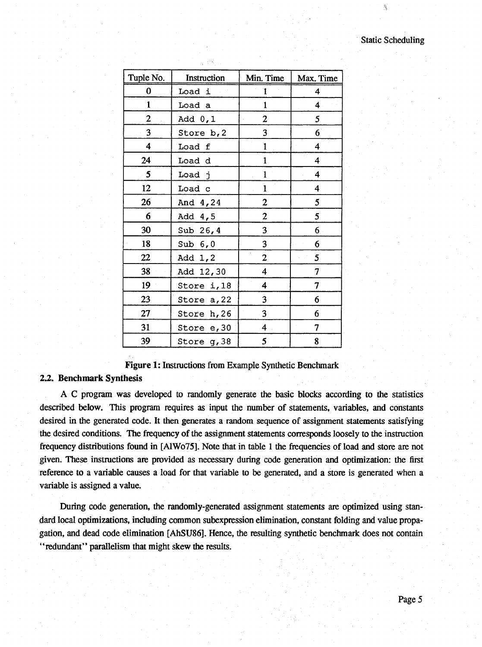#### Static Scheduling

 $\theta$ 

| Tuple No.      | Instruction | Min. Time                    | Max. Time               |
|----------------|-------------|------------------------------|-------------------------|
| 0              | Load i      | 1                            | 4                       |
| $\mathbf{1}$   | Load a      | $\mathbf{1}$                 | $\overline{\mathbf{4}}$ |
| $\overline{2}$ | Add 0,1     | 2                            | 5                       |
| 3              | Store b, 2  | 3                            | 6 <sup>1</sup>          |
| 4              | Load f      | 1                            | $\overline{\mathbf{4}}$ |
| 24             | Load d      | $\mathbf{1}$                 | $\boldsymbol{4}$        |
| $\cdot$ 5      | Load j      | $\mathbf{1}$                 | $\overline{\mathbf{4}}$ |
| 12             | Load c      | $\mathbf{1}$                 | $\overline{\mathbf{4}}$ |
| 26             | And 4,24    | 2                            | 5                       |
| 6              | Add 4,5     | $\boldsymbol{2}$             | 5                       |
| 30             | Sub $26, 4$ | 3                            | 6                       |
| 18             | Sub $6,0$   | 3                            | 6                       |
| 22             | Add 1,2     | $\epsilon$<br>$\overline{2}$ | 5                       |
| 38             | Add 12,30   | $\overline{\mathbf{4}}$      | 7                       |
| 19             | Store i, 18 | 4                            | 7                       |
| 23             | Store a, 22 | 3                            | 6                       |
| 27             | Store h, 26 | 3                            | 6                       |
| 31             | Store e, 30 | $\overline{\mathbf{4}}$      | 7                       |
| 39             | Store g, 38 | 5                            | 8                       |

Figure I: Instructions from Example Synthetic Benchmark

#### *22.* Benchmark Synthesis

A C program was developed to randomly generate the basic blocks according to the statistics described below. This program requires as input the number of statements, variables, and constants desired in the generated code. It then generates a random sequence of assignment statements satisfying the desired conditions. The frequency of the assignment statements corresponds loosely to the instruction frequency distributions found in [AlWo75]. Note that in table I the frequencies of load and store are not given. These instructions are provided as necessary during code generation and optimization: the first reference to a variable causes a load for that variable to be generated, and a store is generated when a variable is assigned a value.

During code generation, the randomly-generated assignment statements are optimized using standard local optimizations, including common subexpression elimination, constant folding and value propagation, and dead code elimination [AhSU86]. Hence, the resulting synthetic benchmark does not contain " redundant" parallelism that might skew the results.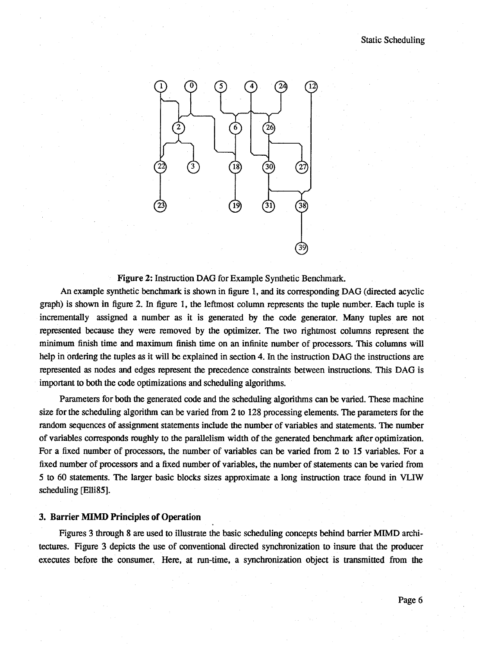

Figure 2: Instruction DAG for Example Synthetic Benchmark.

An example synthetic benchmark is shown in figure I, and its corresponding DAG (directed acyclic graph) is shown in figure 2. In figure I, the leftmost column represents the tuple number. Each tuple is incrementally assigned a number as it is generated by the code generator. Many tuples are not represented because they were removed by the optimizer. The two rightmost columns represent the minimum finish time and maximum finish time on an infinite number of processors. This columns will help in ordering the tuples as it will be explained in section 4. In the instruction DAG the instructions are represented as nodes and edges represent the precedence constraints between instructions. This DAG is important to both the code optimizations and scheduling algorithms.

Parameters for both the generated code and the scheduling algorithms can be varied. These machine size for the scheduling algorithm can be varied from 2 to 128 processing elements. The parameters for the random sequences of assignment statements include the number of variables and statements. The number of variables corresponds roughly to the parallelism width of the generated benchmark after optimization. For a fixed number of processors, the number of variables can be varied from 2 to 15 variables. For a fixed number of processors and a fixed number of variables, the number of statements can be varied from 5 to 60 statements. The larger basic blocks sizes approximate a long instruction trace found in VLIW scheduling [Elli85].

#### 3. Barrier MIMD Principles of Operation

Figures 3 through 8 are used to illustrate the basic scheduling concepts behind barrier MIMD architectures. Figure 3 depicts the use of conventional directed synchronization to insure that the producer executes before the consumer. Here, at run-time, a synchronization object is transmitted from the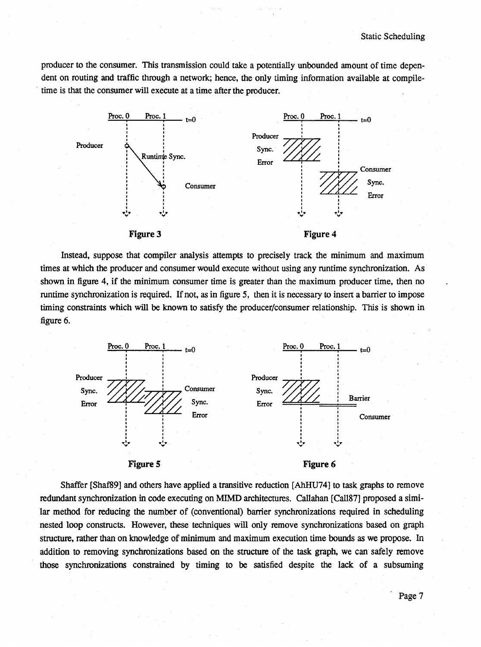producer to the consumer. This transmission could take a potentially unbounded amount of time dependent on routing and traffic through a network; hence, the only timing information available at compiletime is that the consumer will execute at a time after the producer.



Instead, suppose that compiler analysis attempts to precisely track the minimum and maximum times at which the producer and consumer would execute without using any runtime synchronization. As shown in figure 4, if the minimum consumer time is greater than the maximum producer time, then no runtime synchronization is required. If not, as in figure 5, then it is necessary to insert a barrier to impose timing constraints which will be known to satisfy the producer/consumer relationship. This is shown in figure 6.



Shaffer [Shaf89] and others have applied a transitive reduction [AhHU74] to task graphs to remove redundant synchronization in code executing on MIMD architectures. Callahan [Call87] proposed a similar method for reducing the number of (conventional) barrier synchronizations required in scheduling nested loop constructs. However, these techniques will only remove synchronizations based on graph structure, rather than on knowledge of minimum and maximum execution time bounds as we propose. In addition to removing synchronizations based on the structure of the task graph, we can safely remove those synchronizations constrained by timing to be satisfied despite the lack of a subsuming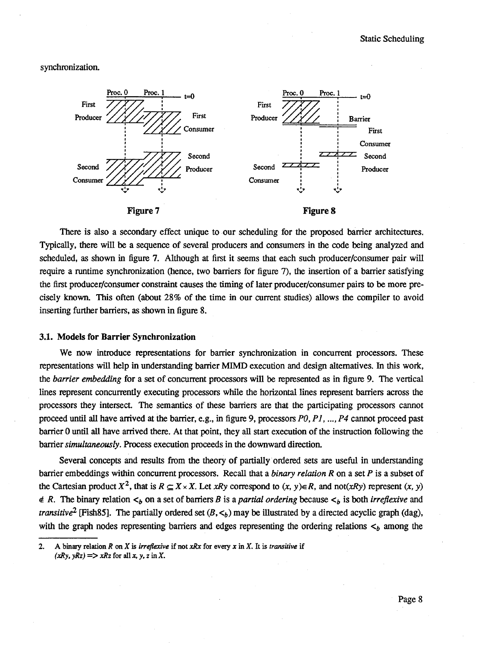synchronization.



There is also a secondary effect unique to our scheduling for the proposed barrier architectures. Typically, there will be a sequence of several producers and consumers in the code being analyzed and scheduled, as shown in figure 7. Although at first it seems that each such producer/consumer pair will require a runtime synchronization (hence, two barriers for figure 7), the insertion of a barrier satisfying the first producer/consumer constraint causes the timing of later producer/consumer pairs to be more precisely known. This often (about 28% of the time in our current studies) allows the compiler to avoid inserting further barriers, as shown in figure 8.

#### **3.1. Models for Barrier Synchronization**

We now introduce representations for barrier synchronization in concurrent processors. These representations will help in understanding barrier MIMD execution and design alternatives. In this work, the *barrier embedding* for a set of concurrent processors will be represented as in figure 9. The vertical lines represent concurrently executing processors while the horizontal lines represent barriers across the processors they intersect. The semantics of these barriers are that the participating processors cannot proceed until all have arrived at the barrier, e.g., in figure 9, processors *PO, P I ,..., P4* cannot proceed past barrier O until all have arrived there. At that point, they all start execution of the instruction following the barrier *simultaneously.* Process execution proceeds in the downward direction.

Several concepts and results from the theory of partially ordered sets are useful in understanding barrier embeddings within concurrent processors. Recall that a *binary relation R* on a set *P* is a subset of the Cartesian product  $X^2$ , that is  $R \subseteq X \times X$ . Let *xRy* correspond to  $(x, y) \in R$ , and not(*xRy*) represent  $(x, y)$  $\notin$  *R.* The binary relation  $\lt_b$  on a set of barriers *B* is a *partial ordering* because  $\lt_b$  is both *irreflexive* and *transitive*<sup>2</sup> [Fish85]. The partially ordered set  $(B, \lt_b)$  may be illustrated by a directed acyclic graph (dag), with the graph nodes representing barriers and edges representing the ordering relations  $\lt_b$  among the

<sup>2.</sup> A binary relation *R on X is irreflexive* if not *xRx* for every *x* in *X.* It is *transitive* if  $(xRy, yRz)$  = >  $xRz$  for all *x*, *y*, *z* in *X*.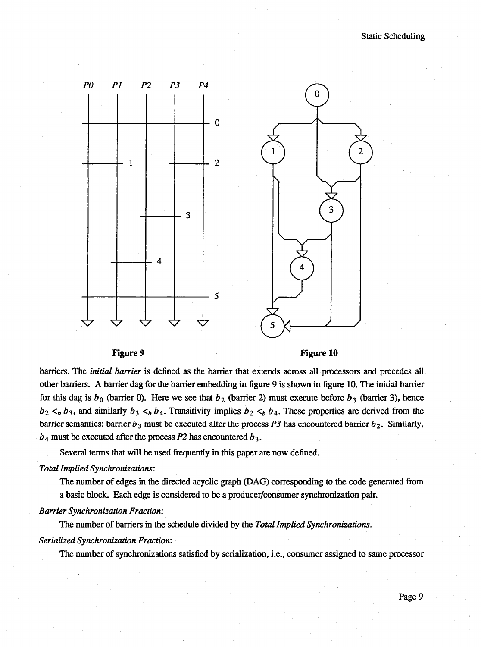



barriers. The *initial barrier* is defined as the barrier that extends across all processors and precedes all other barriers. A barrier dag for the barrier embedding in figure 9 is shown in figure 10. The initial barrier for this dag is  $b_0$  (barrier 0). Here we see that  $b_2$  (barrier 2) must execute before  $b_3$  (barrier 3), hence  $b_2 <_b b_3$ , and similarly  $b_3 <_b b_4$ . Transitivity implies  $b_2 <_b b_4$ . These properties are derived from the barrier semantics: barrier  $b_3$  must be executed after the process  $P3$  has encountered barrier  $b_2$ . Similarly,  $b_4$  must be executed after the process  $P2$  has encountered  $b_3$ .

Several terms that will be used frequently in this paper are now defined.

#### *Total Implied Synchronizations'.*

The number of edges in the directed acyclic graph (DAG) corresponding to the code generated from a basic block. Each edge is considered to be a producer/consumer synchronization pair.

#### **Barrier Synchronization Fraction:**

The number of barriers in the schedule divided by the *Total Implied Synchronizations.*

#### *Serialized Synchronization Fraction:*

The number of synchronizations satisfied by serialization, i.e., consumer assigned to same processor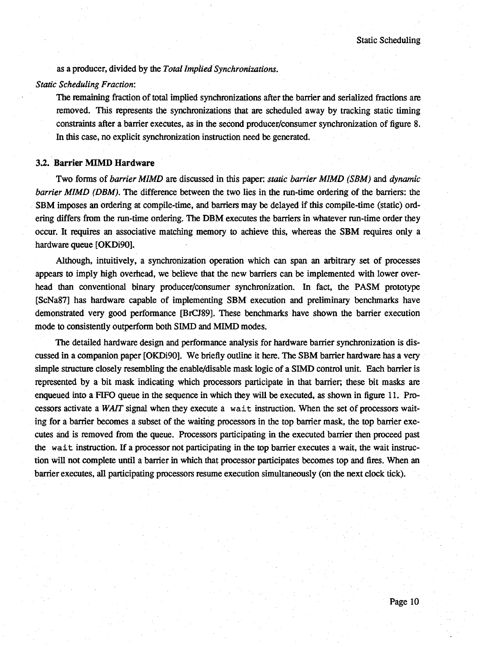as a producer, divided by the *Total Implied Synchronizations.*

#### *Static Scheduling Fraction:*

The remaining fraction of total implied synchronizations after the barrier and serialized fractions are removed. This represents the synchronizations that are scheduled away by tracking static timing constraints after a barrier executes, as in the second producer/consumer synchronization of figure 8. In this case, no explicit synchronization instruction need be generated.

#### *32.* Barrier MIMD Hardware

Two forms of *barrier MIMD* are discussed in this paper: *static barrier MIMD (SBM)* and *dynamic barrier MIMD (DBM)*. The difference between the two lies in the run-time ordering of the barriers: the SBM imposes an ordering at compile-time, and barriers may be delayed if this compile-time (static) ordering differs from the run-time ordering. The DBM executes the barriers in whatever run-time order they occur. It requires an associative matching memory to achieve this, whereas the SBM requires only a hardware queue [OKDi90].

Although, intuitively, a synchronization operation which can span an arbitrary set of processes appears to imply high overhead, we believe that the new barriers can be implemented with lower overhead than conventional binary producer/consumer synchronization. In fact, the PASM prototype [ScNa87] has hardware capable of implementing SBM execution and preliminary benchmarks have demonstrated very good performance [BrCJ89]. These benchmarks have shown the barrier execution mode to consistently outperform both SIMD and MIMD modes.

The detailed hardware design and performance analysis for hardware barrier synchronization is discussed in a companion paper [OKDi90]. We briefly outline it here. The SBM barrier hardware has a very simple structure closely resembling the enable/disable mask logic of a SIMD control unit. Each barrier is represented by a bit mask indicating which processors participate in that barrier, these bit masks are enqueued into a FIFO queue in the sequence in which they will be executed, as shown in figure 11. Processors activate a *WAIT* signal when they execute a wait instruction. When the set of processors waiting for a barrier becomes a subset of the waiting processors in the top barrier mask, the top barrier executes and is removed from the queue. Processors participating in the executed barrier then proceed past the wait instruction. If a processor not participating in the top barrier executes a wait, the wait instruction will not complete until a barrier in which that processor participates becomes top and fires. When an barrier executes, all participating processors resume execution simultaneously (on the next clock tick).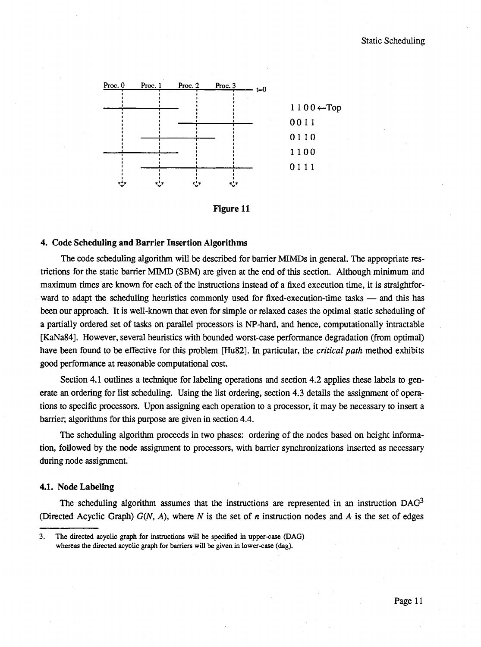

**Figure 11**

#### **4. Code Scheduling and Barrier Insertion Algorithms**

The code scheduling algorithm will be described for barrier MIMDs in general. The appropriate restrictions for the static barrier MIMD (SBM) are given at the end of this section. Although minimum and maximum times are known for each of the instructions instead of a fixed execution time, it is straightforward to adapt the scheduling heuristics commonly used for fixed-execution-time tasks — and this has been our approach. It is well-known that even for simple or relaxed cases the optimal static scheduling of a partially ordered set of tasks on parallel processors is NP-hard, and hence, computationally intractable [KaNa84], However, several heuristics with bounded worst-case performance degradation (from optimal) have been found to be effective for this problem [Hu82]. In particular, the *critical path* method exhibits good performance at reasonable computational cost.

Section 4.1 outlines a technique for labeling operations and section 4.2 applies these labels to generate an ordering for list scheduling. Using the list ordering, section 4.3 details the assignment of operations to specific processors. Upon assigning each operation to a processor, it may be necessary to insert a barrier, algorithms for this purpose are given in section 4.4.

The scheduling algorithm proceeds in two phases: ordering of the nodes based on height information, followed by the node assignment to processors, with barrier synchronizations inserted as necessary during node assignment.

#### **4.1. NodeLabeling**

The scheduling algorithm assumes that the instructions are represented in an instruction  $DAG<sup>3</sup>$ (Directed Acyclic Graph) *G(N, A),* where *N* is the set of *n* instruction nodes and *A* is the set of edges

<sup>3.</sup> The directed acyclic graph for instructions will be specified in upper-case (DAG) whereas the directed acyclic graph for barriers will be given in lower-case (dag).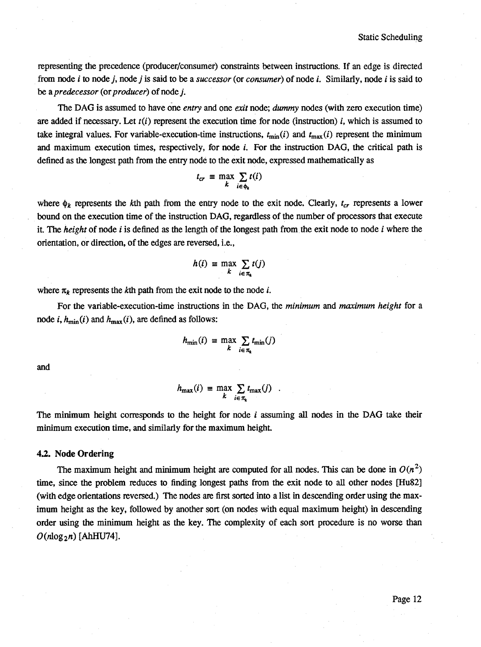representing the precedence (producer/consumer) constraints between instructions. If an edge is directed from node *i* to node *j,* node *j* is said to be a *successor* (or *consumer)* of node *i.* Similarly, node *i* is said to be a *predecessor* (or *producer)* of node *j.*

The DAG is assumed to have one *entry* and one *exit* node; *dummy* nodes (with zero execution time) are added if necessary. Let  $t(i)$  represent the execution time for node (instruction)  $i$ , which is assumed to take integral values. For variable-execution-time instructions,  $t_{min}(i)$  and  $t_{max}(i)$  represent the minimum and maximum execution times, respectively, for node *i*. For the instruction DAG, the critical path is defined as the longest path from the entry node to the exit node, expressed mathematically as

$$
t_{cr} = \max_{k} \sum_{i \in \phi_k} t(i)
$$

where  $\phi_k$  represents the kth path from the entry node to the exit node. Clearly,  $t_{cr}$  represents a lower bound on the execution time of the instruction DAG, regardless of the number of processors that execute it The *height* of node *i* is defined as the length of the longest path from the exit node to node *i* where the orientation, or direction, of the edges are reversed, i.e.,

$$
h(i) = \max_{k} \sum_{i \in \pi_k} t(j)
$$

where  $\pi_k$  represents the kth path from the exit node to the node *i*.

For the variable-execution-time instructions in the DAG, the *minimum* and *maximum height* for a node i,  $h_{\min}(i)$  and  $h_{\max}(i)$ , are defined as follows:

$$
h_{\min}(i) \equiv \max_{k} \sum_{i \in \pi_k} t_{\min}(j)
$$

and

$$
h_{\max}(i) = \max_{k} \sum_{i \in \pi_k} t_{\max}(j) .
$$

The minimum height corresponds to the height for node *i* assuming all nodes in the DAG take their minimum execution time, and similarly for the maximum height.

#### **4.2. Node Ordering**

The maximum height and minimum height are computed for all nodes. This can be done in  $O(n^2)$ time, since the problem reduces to finding longest paths from the exit node to all other nodes [Hu82] (with edge orientations reversed.) The nodes are first sorted into a list in descending order using the maximum height as the key, followed by another sort (on nodes with equal maximum height) in descending order using the minimum height as the key. The complexity of each sort procedure is no worse than  $O(n \log_2 n)$  [AhHU74].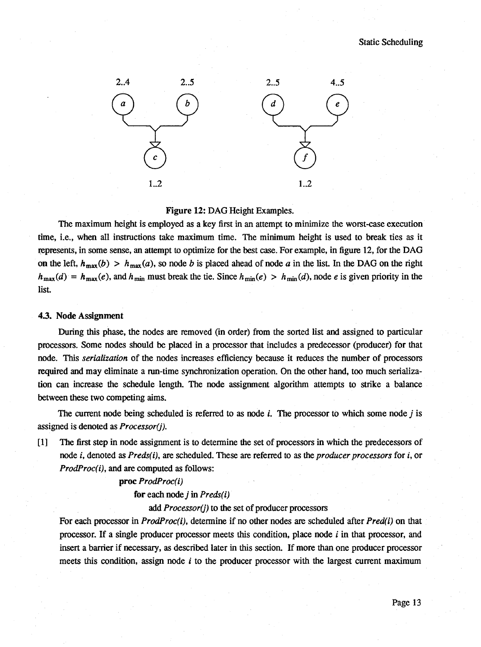

#### Figure 12: DAG Height Examples.

The maximum height is employed as a key first in an attempt to minimize the worst-case execution time, i.e., when all instructions take maximum time. The minimum height is used to break ties as it represents, in some sense, an attempt to optimize for the best case. For example, in figure 12, for the DAG on the left,  $h_{\text{max}}(b) > h_{\text{max}}(a)$ , so node *b* is placed ahead of node *a* in the list. In the DAG on the right  $h_{\text{max}}(d) = h_{\text{max}}(e)$ , and  $h_{\text{min}}$  must break the tie. Since  $h_{\text{min}}(e) > h_{\text{min}}(d)$ , node *e* is given priority in the list.

#### 4.3. Node Assignment

During this phase, the nodes are removed (in order) from the sorted list and assigned to particular processors. Some nodes should be placed in a processor that includes a predecessor (producer) for that node. This *serialization* of the nodes increases efficiency because it reduces the number of processors required and may eliminate a run-time synchronization operation. On the other hand, too much serialization can increase the schedule length. The node assignment algorithm attempts to strike a balance between these two competing aims.

The current node being scheduled is referred to as node *i.* The processor to which some node *j* is assigned is denoted as *Processor(j).*

[1] The first step in node assignment is to determine the set of processors in which the predecessors of node t, denoted as *Preds(i),* are scheduled. These are referred to as the *producer processors* for i, or *ProdProc(i),* and are computed as follows:

#### proc *ProdProc(i)*

for each node *j* in *Preds(i)*

#### add *Processor(j)* to the set of producer processors

For each processor in *ProdProc(i),* determine if no other nodes are scheduled after *Pred(i)* on that processor. If a single producer processor meets this condition, place node *i* in that processor, and insert a barrier if necessary, as described later in this section. If more than one producer processor meets this condition, assign node *i* to the producer processor with the largest current maximum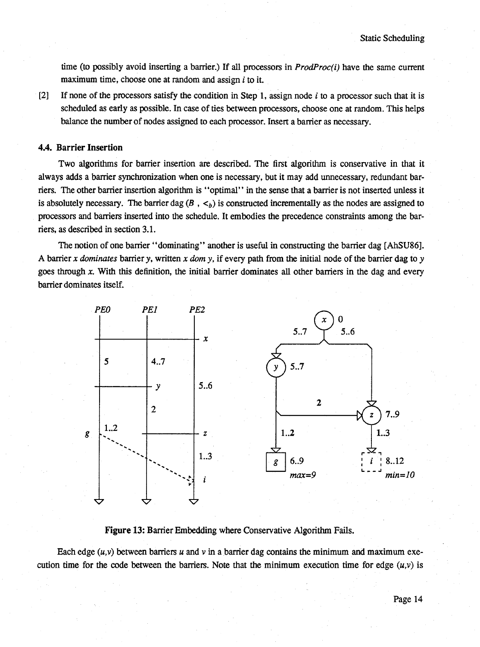time (to possibly avoid inserting a barrier.) If all processors in *ProdProc(i)* have the same current maximum time, choose one at random and assign *i* to it.

[2] If none of the processors satisfy the condition in Step I, assign node *i* to a processor such that it is scheduled as early as possible. In case of ties between processors, choose one at random. This helps balance the number of nodes assigned to each processor. Insert a barrier as necessary.

#### **4.4. Barrier Insertion**

Two algorithms for barrier insertion are described. The first algorithm is conservative in that it always adds a barrier synchronization when one is necessary, but it may add unnecessary, redundant barriers. The other barrier insertion algorithm is ' 'optimal' ' in the sense that a barrier is not inserted unless it is absolutely necessary. The barrier dag  $(B, \lt_b)$  is constructed incrementally as the nodes are assigned to processors and barriers inserted into the schedule. It embodies the precedence constraints among the barriers, as described in section 3.1.

The notion of one barrier "dominating" another is useful in constructing the barrier dag [AhSU86]. A barrier *x dominates* barrier *y,* written *x dom y,* if every path from the initial node of the barrier dag to *y* goes through *x.* With this definition, the initial barrier dominates all other barriers in the dag and every barrier dominates itself.



Figure 13: Barrier Embedding where Conservative Algorithm Fails.

Each edge  $(u, v)$  between barriers  $u$  and  $v$  in a barrier dag contains the minimum and maximum execution time for the code between the barriers. Note that the minimum execution time for edge  $(u,v)$  is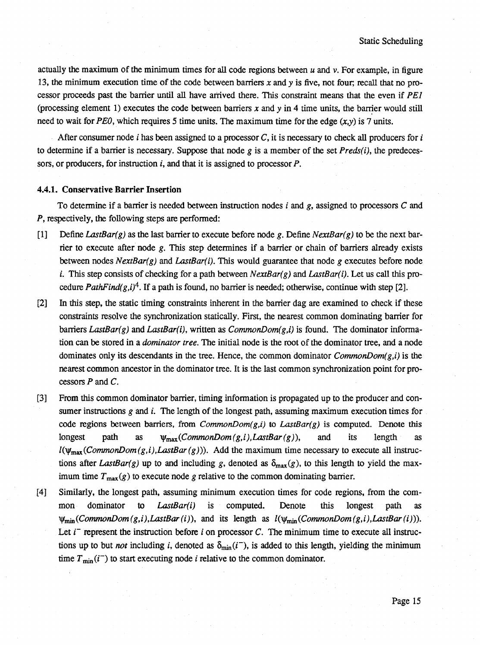actually the maximum of the minimum times for all code regions between *u* and v. For example, in figure 13, the minimum execution time of the code between barriers *x* and *y* is five, not four; recall that no processor proceeds past the barrier until all have arrived there. This constraint means that the even if *PEl* (processing element I) executes the code between barriers *x* and *y* in 4 time units, the barrier would still need to wait for *PEO*, which requires 5 time units. The maximum time for the edge  $(x, y)$  is 7 units.

After consumer node *i* has been assigned to a processor *C,* it is necessary to check all producers for *i* to determine if a barrier is necessary. Suppose that node *g* is a member of the set *Preds(i),* the predecessors, or producers, for instruction *i,* and that it is assigned to processor *P.*

#### **4.4.1. Conservative Barrier Insertion**

To determine if a barrier is needed between instruction nodes *i* and *g,* assigned to processors *C* and *P,* respectively, the following steps are performed:

- [1] Define *LastBar(g)* as the last barrier to execute before node *g.* Define *NextBar(g)* to be the next barrier to execute after node *g.* This step determines if a barrier or chain of barriers already exists between nodes *NextBar(g)* and *LastBar(i).* This would guarantee that node *g* executes before node i. This step consists of checking for a path between *NextBar(g)* and *LastBar(i).* Let us call this procedure *PathFind(g,i)<sup>4</sup>*. If a path is found, no barrier is needed; otherwise, continue with step [2].
- [2] In this step, the static timing constraints inherent in the barrier dag are examined to check if these constraints resolve the synchronization statically. First, the nearest common dominating barrier for barriers *LastBar(g)* and *LastBar(i),* written as *CommonDom(g,i)* is found. The dominator information can be stored in a *dominator tree.* The initial node is the root of the dominator tree, and a node dominates only its descendants in the tree. Hence, the common dominator *CommonDom(g,i)* is the nearest common ancestor in the dominator tree. It is the last common synchronization point for processors *P* and *C.*
- [3] From this common dominator barrier, timing information is propagated up to the producer and consumer instructions *g* and *i*. The length of the longest path, assuming maximum execution times for code regions between barriers, from *CommonDom(g,i)* to *LastBar(g)* is computed. Denote this longest path as  $\psi_{\text{max}}(CommonDom(g,i),LastBar(g))$ , and its length as  $I(\psi_{\text{max}}(CommonDom(g,i),LastBar(g)))$ . Add the maximum time necessary to execute all instructions after *LastBar(g)* up to and including *g*, denoted as  $\delta_{\text{max}}(g)$ , to this length to yield the maximum time  $T_{\text{max}}(g)$  to execute node g relative to the common dominating barrier.
- [4] Similarly, the longest path, assuming minimum execution times for code regions, from the common dominator to *LastBar(i)* is computed. Denote this longest path as  $\psi_{\min}(CommonDom(g,i), LastBar(i))$ , and its length as  $l(\psi_{\min}(CommonDom(g,i),LastBar(i)))$ . Let  $i<sup>-</sup>$  represent the instruction before  $i$  on processor  $C$ . The minimum time to execute all instructions up to but *not* including *i*, denoted as  $\delta_{\min}(i^{-})$ , is added to this length, yielding the minimum time  $T_{\text{min}}(i^-)$  to start executing node *i* relative to the common dominator.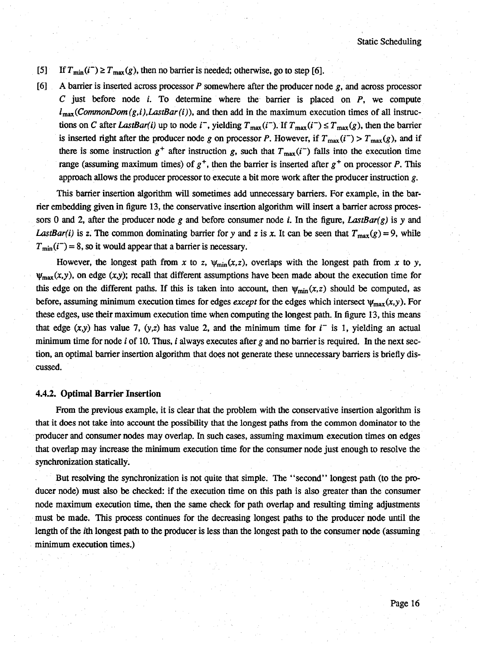- [5] If  $T_{min}(i^-) \geq T_{max}(g)$ , then no barrier is needed; otherwise, go to step [6].
- [6] A barrier is inserted across processor *P* somewhere after the producer node *g,* and across processor *C* just before node *i.* To determine where the barrier is placed on *P,* we compute  $l_{\text{max}}(CommonDom(g,i), LastBar(i))$ , and then add in the maximum execution times of all instructions on *C* after *LastBar(i)* up to node *i*<sup>-</sup>, yielding  $T_{\text{max}}(i^-)$ . If  $T_{\text{max}}(i^-) \le T_{\text{max}}(g)$ , then the barrier is inserted right after the producer node *g* on processor *P*. However, if  $T_{\text{max}}(i^-) > T_{\text{max}}(g)$ , and if there is some instruction  $g^+$  after instruction g, such that  $T_{\text{max}}(i^-)$  falls into the execution time range (assuming maximum times) of  $g^+$ , then the barrier is inserted after  $g^+$  on processor *P*. This approach allows the producer processor to execute a bit more work after the producer instruction *g*.

This barrier insertion algorithm will sometimes add unnecessary barriers. For example, in the barrier embedding given in figure 13, the conservative insertion algorithm will insert a barrier across processors 0 and 2, after the producer node *g* and before consumer node *i.* In the figure, *LastBar(g)* is *y* and *LastBar(i)* is z. The common dominating barrier for *y* and *z* is *x*. It can be seen that  $T_{\text{max}}(g) = 9$ , while  $T_{\text{min}}(i^-) = 8$ , so it would appear that a barrier is necessary.

However, the longest path from *x* to *z*,  $\psi_{\text{min}}(x, z)$ , overlaps with the longest path from *x* to *y*,  $\psi_{\text{max}}(x,y)$ , on edge  $(x,y)$ ; recall that different assumptions have been made about the execution time for this edge on the different paths. If this is taken into account, then  $\psi_{\min}(x, z)$  should be computed, as before, assuming minimum execution times for edges *except* for the edges which intersect  $\psi_{\text{max}}(x, y)$ . For these edges, use their maximum execution time when computing the longest path. In figure 13, this means that edge  $(x,y)$  has value 7,  $(y,z)$  has value 2, and the minimum time for  $i^-$  is 1, yielding an actual minimum time for node *i* of 10. Thus, *i* always executes after  $g$  and no barrier is required. In the next section, an optimal barrier insertion algorithm that does not generate these unnecessary barriers is briefly discussed.

#### **4.4.2. Optimal Barrier Insertion**

From the previous example, it is clear that the problem with the conservative insertion algorithm is that it does not take into account the possibility that the longest paths from the common dominator to the producer and consumer nodes may overlap. In such cases, assuming maximum execution times on edges that Overlap may increase the minimum execution time for the consumer node just enough to resolve the synchronization statically.

But resolving the synchronization is not quite that simple. The " second" longest path (to the producer node) must also be checked: if the execution time on this path is also greater than the consumer node maximum execution time, then the same check for path overlap and resulting timing adjustments must be made. This process continues for the decreasing longest paths to the producer node until the length of the *i*th longest path to the producer is less than the longest path to the consumer node (assuming minimum execution times.)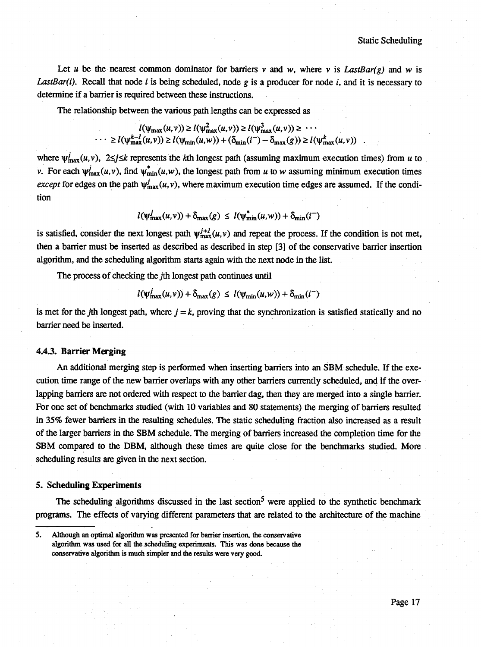Let *u* be the nearest common dominator for barriers *v* and *w*, where *v* is *LastBar(g)* and *w* is *LastBar(i).* Recall that node *i* is being scheduled, node *g* is a producer for node *i,* and it is necessary to determine if a barrier is required between these instructions.

The relationship between the various path lengths can be expressed as

$$
l(\psi_{\max}(u,v)) \ge l(\psi_{\max}^2(u,v)) \ge l(\psi_{\max}^3(u,v)) \ge \cdots
$$
  

$$
\cdots \ge l(\psi_{\max}^{k-l}(u,v)) \ge l(\psi_{\min}(u,w)) + (\delta_{\min}(i^-) - \delta_{\max}(g)) \ge l(\psi_{\max}^k(u,v)) .
$$

where  $\psi_{\text{max}}^j(u, v)$ ,  $2 \le j \le k$  represents the kth longest path (assuming maximum execution times) from *u* to v. For each  $\psi_{\text{max}}^i(u,v)$ , find  $\psi_{\text{min}}^*(u,w)$ , the longest path from *u* to *w* assuming minimum execution times *except* for edges on the path  $\psi_{\text{max}}^j(u, v)$ , where maximum execution time edges are assumed. If the condition

$$
l(\psi_{\max}^j(u,v)) + \delta_{\max}(g) \leq l(\psi_{\min}^*(u,w)) + \delta_{\min}(i^-)
$$

is satisfied, consider the next longest path  $\psi_{\text{max}}^{j+l}(u,v)$  and repeat the process. If the condition is not met, then a barrier must be inserted as described as described in step [3] of the conservative barrier insertion algorithm, and the scheduling algorithm starts again with the next node in the list.

The process of checking the /th longest path continues until

$$
l(\psi_{\max}^J(u,v)) + \delta_{\max}(g) \le l(\psi_{\min}(u,w)) + \delta_{\min}(i^{-})
$$

is met for the *j*th longest path, where  $j = k$ , proving that the synchronization is satisfied statically and no barrier need be inserted.

#### **4.4.3. Barrier Merging**

An additional merging step is performed when inserting barriers into an SBM schedule. If the execution time range of the new barrier overlaps with any other barriers currently scheduled, and if the overlapping barriers are not ordered with respect to the barrier dag, then they are merged into a single barrier. For one set of benchmarks studied (with 10 variables and 80 statements) the merging of barriers resulted in 35% fewer barriers in the resulting schedules. The static scheduling fraction also increased as a result of the larger barriers in the SBM schedule. The merging of barriers increased the completion time for the SBM compared to the DBM, although these times are quite close for the benchmarks studied. More scheduling results are given in the next section.

#### **5. SchedulingExperiments**

The scheduling algorithms discussed in the last section<sup>5</sup> were applied to the synthetic benchmark programs. The effects of varying different parameters that are related to the architecture of the machine

<sup>5.</sup> Although an optimal algorithm was presented for barrier insertion, the conservative algorithm was used for all the scheduling experiments. This was done because the conservative algorithm is much simpler and the results were very good.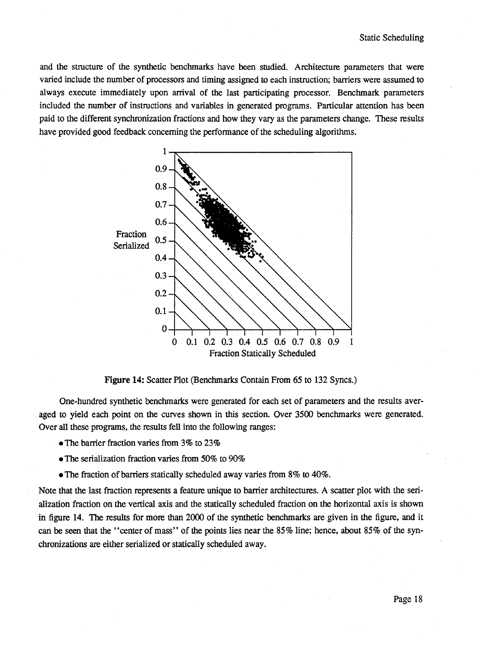and the structure of the synthetic benchmarks have been studied. Architecture parameters that were varied include the number of processors and timing assigned to each instruction; barriers were assumed to always execute immediately upon arrival of the last participating processor. Benchmark parameters included the number of instructions and variables in generated programs. Particular attention has been paid to the different synchronization fractions and how they vary as the parameters change. These results have provided good feedback concerning the performance of the scheduling algorithms.



Figure 14: Scatter Plot (Benchmarks Contain From 65 to 132 Syncs.)

One-hundred synthetic benchmarks were generated for each set of parameters and the results averaged to yield each point on the curves shown in this section. Over 3500 benchmarks were generated. Over all these programs, the results fell into the following ranges:

- The barrier fraction varies from 3% to 23%
- The serialization fraction varies from 50% to 90%
- •The fraction of barriers statically scheduled away varies from 8% to 40%.

Note that the last fraction represents a feature unique to barrier architectures. A scatter plot with the serialization fraction on the vertical axis and the statically scheduled fraction on the horizontal axis is shown in figure 14. The results for more than 2000 of the synthetic benchmarks are given in the figure, and it can be seen that the "center of mass" of the points lies near the 85% line; hence, about 85% of the synchronizations are either serialized or statically scheduled away.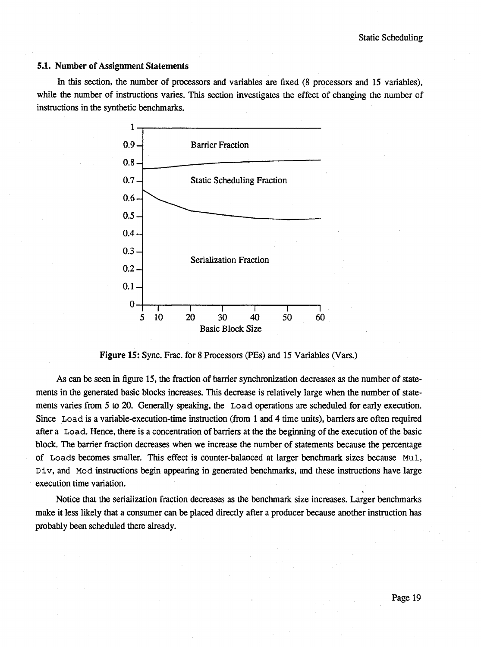#### 5.1. Number of Assignment Statements

In this section, the number of processors and variables are fixed (8 processors and 15 variables), while the number of instructions varies. This section investigates the effect of changing the number of instructions in the synthetic benchmarks.



Figure 15: Sync. Frac. for 8 Processors (PEs) and 15 Variables (Vars.)

As can be seen in figure 15, the fraction of barrier synchronization decreases as the number of statements in the generated basic blocks increases. This decrease is relatively large when the number of statements varies from 5 to 20. Generally speaking, the **Load** operations are scheduled for early execution. Since **Load** is a variable-execution-time instruction (from I and 4 time units), barriers are often required after a **Load.** Hence, there is a concentration of barriers at the the beginning of the execution of the basic block. The barrier fraction decreases when we increase the number of statements because the percentage of **Loads** becomes smaller. This effect is counter-balanced at larger benchmark sizes because **Mul, Div,** and **Mod** instructions begin appearing in generated benchmarks, and these instructions have large execution time variation.

Notice that the serialization fraction decreases as the benchmark size increases. Larger benchmarks make it less likely that a consumer can be placed directly after a producer because another instruction has probably been scheduled there already.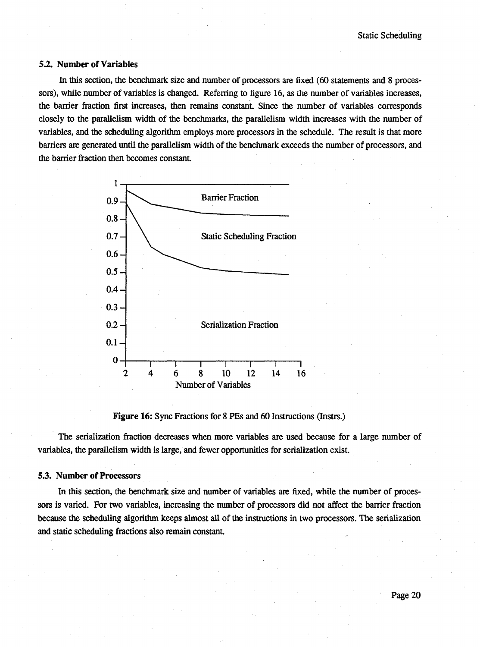#### 5.2. Number of Variables

In this section, the benchmark size and number of processors are fixed (60 statements and 8 processors), while number of variables is changed. Referring to figure 16, as the number of variables increases, the barrier fraction first increases, then remains constant. Since the number of variables corresponds closely to the parallelism width of the benchmarks, the parallelism width increases with the number of variables, and the scheduling algorithm employs more processors in the schedule. The result is that more barriers are generated until the parallelism width of the benchmark exceeds the number of processors, and the barrier fraction then becomes constant.



Figure 16: Sync Fractions for 8 PEs and 60 Instmctions (Instrs.)

The serialization fraction decreases when more variables are used because for a large number of variables, the parallelism width is large, and fewer opportunities for serialization exist.

#### *53.* Number of Processors

In this section, the benchmark size and number of variables are fixed, while the number of processors is varied. For two variables, increasing the number of processors did not affect the barrier fraction because the scheduling algorithm keeps almost all of the instructions in two processors. The serialization and static scheduling fractions also remain constant.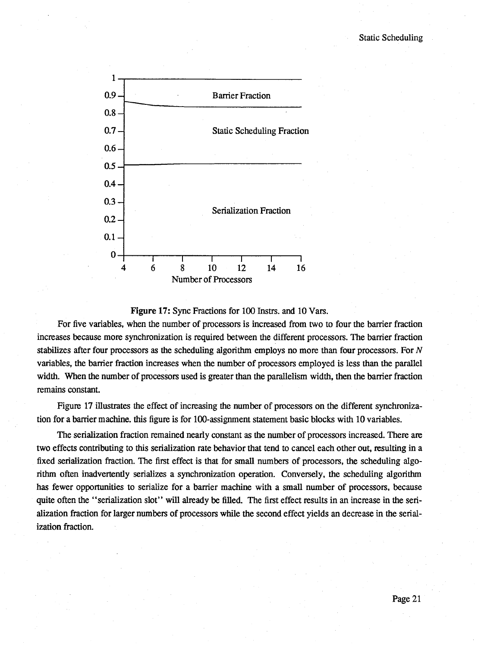

#### Figure 17: Sync Fractions for 100 Instrs. and 10 Vars.

For five variables, when the number of processors is increased from two to four the barrier fraction increases because more synchronization is required between the different processors. The barrier fraction stabilizes after four processors as the scheduling algorithm employs no more than four processors. For *N* variables, the barrier fraction increases when the number of processors employed is less than the parallel width. When the number of processors used is greater than the parallelism width, then the barrier fraction remains constant.

Figure 17 illustrates the effect of increasing the number of processors on the different synchronization for a barrier machine, this figure is for 100-assignment statement basic blocks with 10 variables.

The serialization fraction remained nearly constant as the number of processors increased. There are two effects contributing to this serialization rate behavior that tend to cancel each other out, resulting in a fixed serialization fraction. The first effect is that for small numbers of processors, the scheduling algorithm often inadvertently serializes a synchronization operation. Conversely, the scheduling algorithm has fewer opportunities to serialize for a barrier machine with a small number of processors, because quite often the "serialization slot" will already be filled. The first effect results in an increase in the serialization fraction for larger numbers of processors while the second effect yields an decrease in the serialization fraction.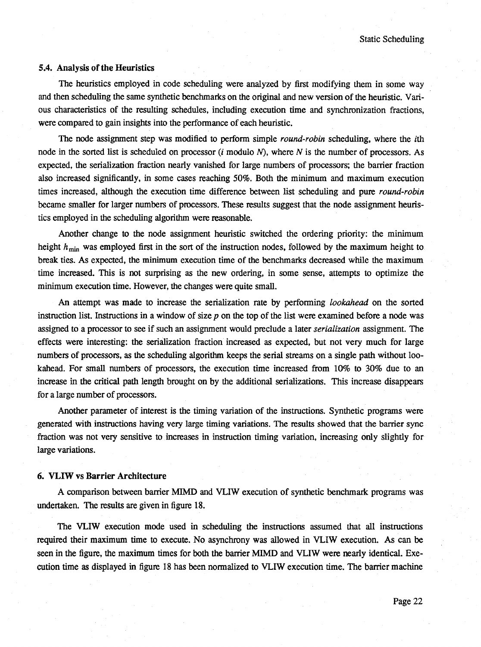#### **5.4. Analysis of the Heuristics**

The heuristics employed in code scheduling were analyzed by first modifying them in some way and then scheduling the same synthetic benchmarks on the original and new version of the heuristic. Various characteristics of the resulting schedules, including execution time and synchronization fractions, were compared to gain insights into the performance of each heuristic.

The node assignment step was modified to perform simple *round-robin* scheduling, where the z'th node in the sorted list is scheduled on processor *(i* modulo *N)*, where *N* is the number of processors. As expected, the serialization fraction nearly vanished for large numbers of processors; the barrier fraction also increased significantly, in some cases reaching 50%. Both the minimum and maximum execution times increased, although the execution time difference between list scheduling and pure *round-robin* became smaller for larger numbers of processors. These results suggest that the node assignment heuristics employed in the scheduling algorithm were reasonable.

Another change to the node assignment heuristic switched the ordering priority: the minimum height  $h_{\min}$  was employed first in the sort of the instruction nodes, followed by the maximum height to break ties. As expected, the minimum execution time of the benchmarks decreased while the maximum time increased. This is not surprising as the new ordering, in some sense, attempts to optimize the minimum execution time. However, the changes were quite small.

An attempt was made to increase the serialization rate by performing *lookahead* on the sorted instruction list. Instructions in a window of size *p* on the top of the list were examined before a node was assigned to a processor to see if such an assignment would preclude a later *serialization* assignment. The effects were interesting: the serialization fraction increased as expected, but not very much for large numbers of processors, as the scheduling algorithm keeps the serial streams on a single path without lookahead. For small numbers of processors, the execution time increased from 10% to 30% due to an increase in the critical path length brought on by the additional serializations. This increase disappears for a large number of processors.

Another parameter of interest is the timing variation of the instructions. Synthetic programs were generated with instructions having very large timing variations. The results showed that the barrier sync fraction was not very sensitive to increases in instruction timing variation, increasing only slightly for large variations.

#### **6. VLIW vs Barrier Architecture**

A comparison between barrier MIMD and VLIW execution of synthetic benchmark programs was undertaken. The results are given in figure 18.

The VLIW execution mode used in scheduling the instructions assumed that all instructions required their maximum time to execute. No asynchrony was allowed in VLIW execution. As can be seen in the figure, the maximum times for both the barrier MIMD and VLIW were nearly identical. Execution time as displayed in figure 18 has been normalized to VLIW execution time. The barrier machine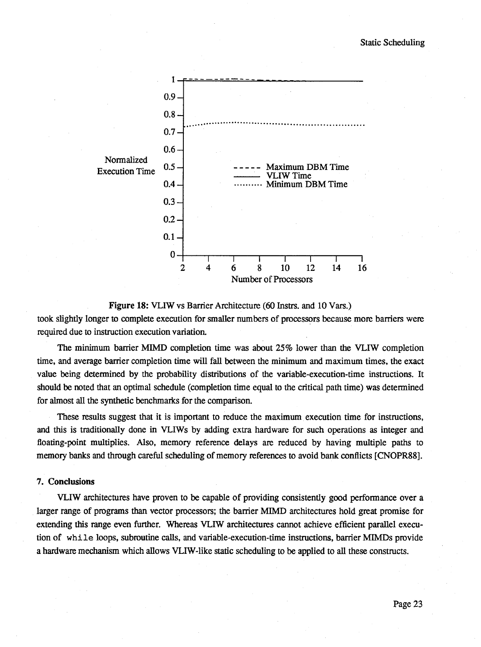

Figure 18: VLIW vs Barrier Architecture (60 Instrs. and 10 Vars.)

took slightly longer to complete execution for smaller numbers of processors because more barriers were required due to instruction execution variatioa

The minimum barrier MIMD completion time was about 25% lower than the VLIW completion time, and average barrier completion time will fall between the minimum and maximum times, the exact value being determined by the probability distributions of the variable-execution-time instructions. It should be noted that an optimal schedule (completion time equal to the critical path time) was determined for almost all the synthetic benchmarks for the comparison.

These results suggest that it is important to reduce the maximum execution time for instructions, and this is traditionally done in VLIWs by adding extra hardware for such operations as integer and floating-point multiplies. Also, memory reference delays are reduced by having multiple paths to memory banks and through careful scheduling of memory references to avoid bank conflicts [CNOPR88].

#### 7. Conclusions

VLIW architectures have proven to be capable of providing consistently good performance over a larger range of programs than vector processors; the barrier MIMD architectures hold great promise for extending this range even further. Whereas VLIW architectures cannot achieve efficient parallel execution of while loops, subroutine calls, and variable-execution-time instructions, barrier MIMDs provide a hardware mechanism which allows VLIW-Iike static scheduling to be applied to all these constructs.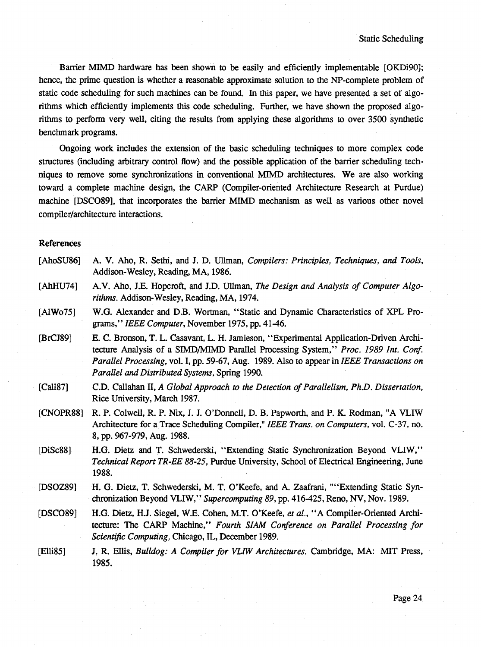Barrier MIMD hardware has been shown to be easily and efficiently implementable [OKDi90]; hence, the prime question is whether a reasonable approximate solution to the NP-complete problem of static code scheduling for such machines can be found. In this paper, we have presented a set of algorithms which efficiently implements this code scheduling. Further, we have shown the proposed algorithms to perform very well, citing the results from applying these algorithms to over 3500 synthetic benchmark programs.

Ongoing work includes the extension of the basic scheduling techniques to more complex code structures (including arbitrary control flow) and the possible application of the barrier scheduling techniques to remove some synchronizations in conventional MIMD architectures. We are also working toward a complete machine design, the CARP (Compiler-oriented Architecture Research at Purdue) machine [DSC089], that incorporates the barrier MIMD mechanism as well as various other novel compiler/architecture interactions.

#### References

[AhoSU86] [AhHU74] [AlWo75] [BrCJ89] [Call87] [CNOPR88] [DiSc88] [DSOZ89] [DSC089] [Elli85] A. V. Aho, R. Sethi, and J. D. UUman, *Compilers: Principles, Techniques, and Tools,* Addison-Wesley, Reading, MA, 1986. A.V. Aho, J.E. Hopcroft, and J.D. Ullman, *The Design and Analysis of Computer Algorithms.* Addison-Wesley, Reading, MA, 1974. W.G. Alexander and D.B. Wortman, " Static and Dynamic Characteristics of XPL Programs,' ' *IEEE Computer,* November 1975, pp. 41-46. E. C. Bronson, T. L. Casavant, L. H. Jamieson, " Experimental Application-Driven Architecture Analysis of a SIMD/MIMD ParaUel Processing System," *Proc. 1989 Int. Conf Parallel Processing,* vol. I, pp. 59-67, Aug. 1989. Also to appear in *IEEE Transactions on Parallel and Distributed Systems,* Spring 1990. C.D. CaUahan **n,** *A Global Approach to the Detection of Parallelism, PhD. Dissertation,* Rice University, March 1987. R. P. ColweU, R. P. Nix, J. J. O'DonneU, D. B. Papworth, and P. K. Rodman, "A VLIW Architecture for a Trace Scheduling Compiler," *IEEE Trans. on Computers*, vol. C-37, no. 8, pp. 967-979, Aug. 1988. H.G. Dietz and T. Schwederski, "Extending Static Synchronization Beyond VLIW," *Technical Report TR-EE 88-25,* Purdue University, School of Electrical Engineering, June 1988. H. G. Dietz, T. Schwederski, M. T. O'Keefe, and A. Zaafrani, "" Extending Static Synchronization Beyond VLIW," *Supercomputing 89,* pp. 416-425, Reno, NV, Nov. 1989. H.G. Dietz, H.J. Siegel, W.E. Cohen, M.T. O'Keefe, et al., "A Compiler-Oriented Architecture: The CARP Machine," *Fourth SIAM Conference on Parallel Processing for Scientific Computing,* Chicago, IL, December 1989. J. R. EHis, *Bulldog: A Compiler for VUW Architectures.* Cambridge, MA: MIT Press, 1985.